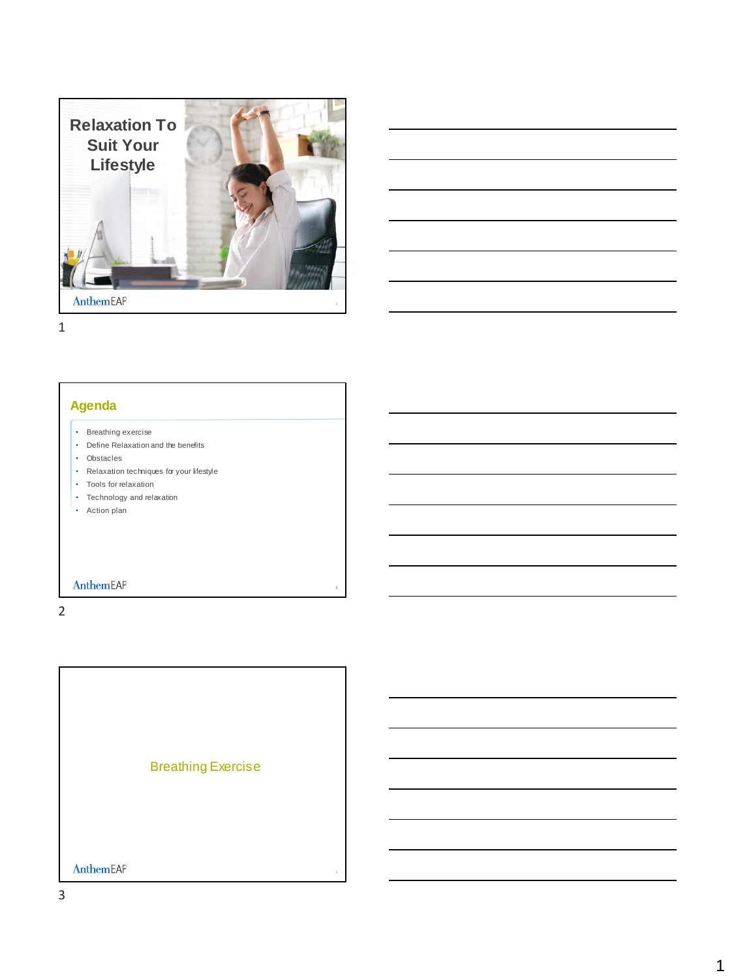



1

# **Agenda**

- Breathing exercise
- Define Relaxation and the benefits
- Obstacles
- Relaxation techniques for your lifestyle
- Tools for relaxation
- Technology and relaxation
- Action plan

AnthemEAP

2

Breathing Exercise AnthemEAP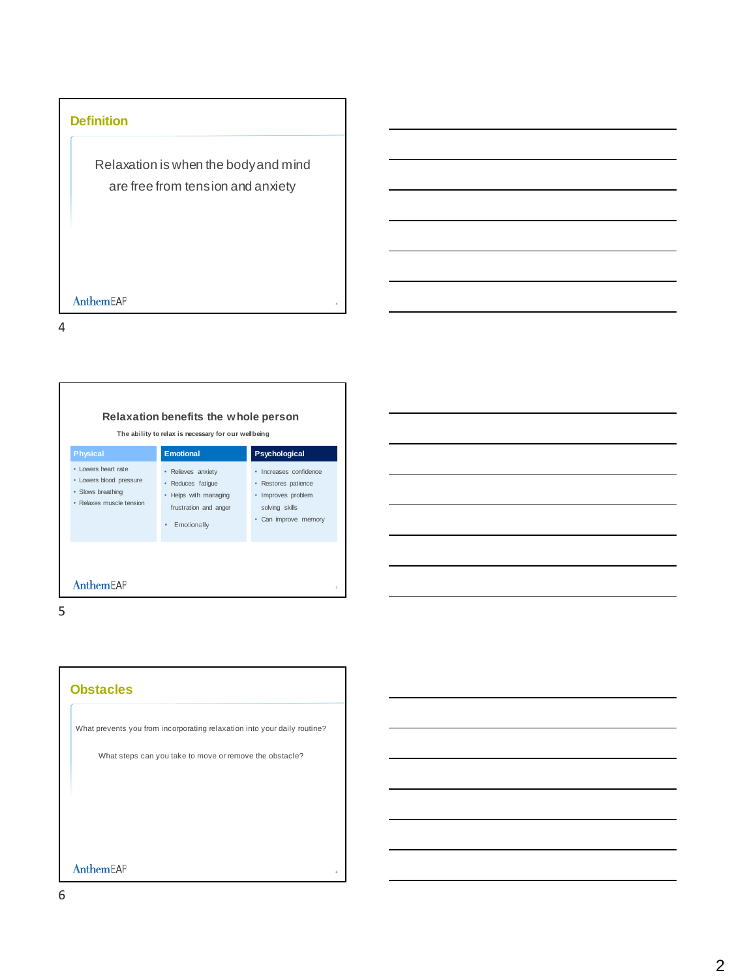# **Definition**

Relaxation is when the body and mind are free from tension and anxiety

### AnthemEAP

4

# **Relaxation benefits the whole person**

**The ability to relax is necessary for our wellbeing**

| • Relieves anxiety                                                                 | · Increases confidence                                                              |
|------------------------------------------------------------------------------------|-------------------------------------------------------------------------------------|
| • Reduces fatique<br>• Helps with managing<br>frustration and anger<br>Emotionally | • Restores patience<br>• Improves problem<br>solving skills<br>• Can improve memory |
|                                                                                    |                                                                                     |

5

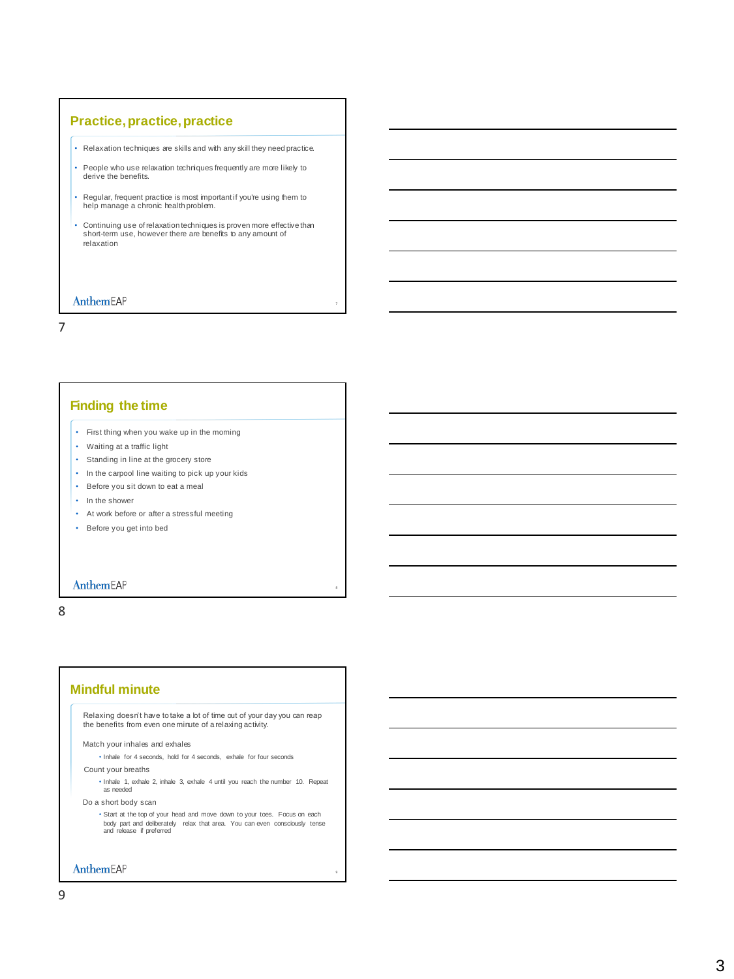# **Practice, practice, practice**

- Relaxation techniques are skills and with any skill they need practice.
- People who use relaxation techniques frequently are more likely to derive the benefits.
- Regular, frequent practice is most important if you're using them to help manage a chronic health problem.
- Continuing use of relaxation techniques is proven more effective than short-term use, however there are benefits to any amount of relaxation

#### AnthemEAP

7

# **Finding the time**

- First thing when you wake up in the morning
- Waiting at a traffic light
- Standing in line at the grocery store
- In the carpool line waiting to pick up your kids
- Before you sit down to eat a meal
- In the shower
- At work before or after a stressful meeting
- Before you get into bed

#### AnthemEAP

8

# **Mindful minute**

Relaxing doesn't have to take a lot of time out of your day you can reap the benefits from even one minute of a relaxing activity.

Match your inhales and exhales

• Inhale for 4 seconds, hold for 4 seconds, exhale for four seconds

Count your breaths

• Inhale 1, exhale 2, inhale 3, exhale 4 until you reach the number 10. Repeat as needed

Do a short body scan

• Start at the top of your head and move down to your toes. Focus on each body part and deliberately relax that area. You can even consciously tense and release if preferred

AnthemEAP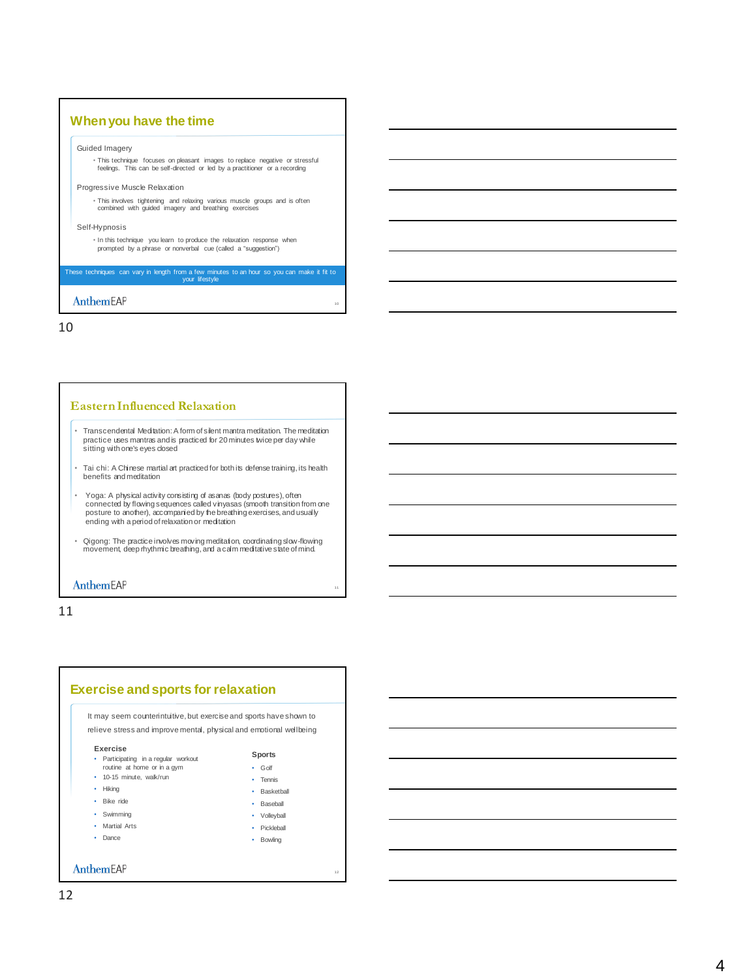

10

#### **Eastern Influenced Relaxation**

- Transcendental Meditation: A form of silent mantra meditation. The meditation practice uses mantras and is practiced for 20 minutes twice per day while sitting with one's eyes closed
- Tai chi: A Chinese martial art practiced for both its defense training, its health benefits and meditation
- Yoga: A physical activity consisting of asanas (body postures), often connected by flowing sequences called vinyasas (smooth transition from one<br>posture to another), accompanied by the breathing exercises, and usually<br>ending with a period of relaxation or meditation
- Qigong: The practice involves moving meditation, coordinating slow-flowing movement, deep rhythmic breathing, and a calm meditative state of mind.

#### AnthemEAP

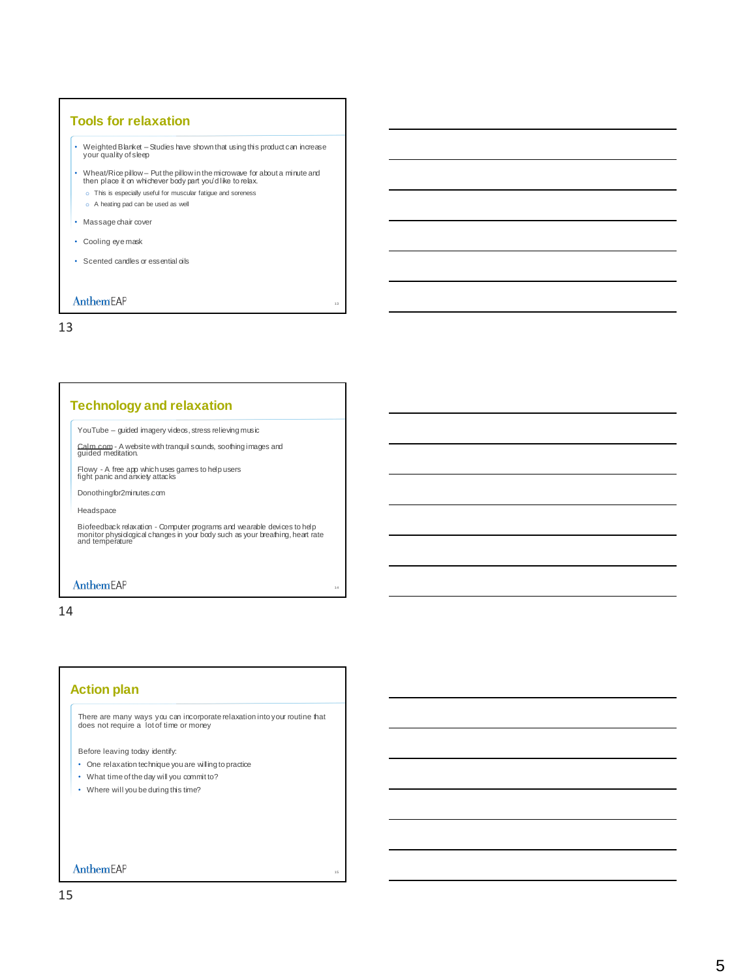### **Tools for relaxation**

- Weighted Blanket –Studies have shown that using this product can increase your quality of sleep
- Wheat/Rice pillow Put the pillow in the microwave for about a minute and then place it on whichever body part you'd like to relax.

13

14

15

- o This is especially useful for muscular fatigue and soreness
- o A heating pad can be used as well
- Massage chair cover
- Cooling eye mask
- Scented candles or essential oils

### AnthemEAP

13

### **Technology and relaxation**

YouTube – guided imagery videos, stress relieving music

[Calm.com](https://www.calm.com/) - A website with tranquil sounds, soothing images and guided meditation.

Flowy - A free app which uses games to help users fight panic and anxiety attacks

Donothingfor2minutes.com

Headspace

Biofeedback relaxation - Computer programs and wearable devices to help monitor physiological changes in your body such as your breathing, heart rate and temperature

#### AnthemEAP

14

# **Action plan**

There are many ways you can incorporate relaxation into your routine that does not require a lot of time or money

Before leaving today identify:

- One relaxation technique you are willing to practice
- What time of the day will you commit to?
- Where will you be during this time?

### AnthemEAP